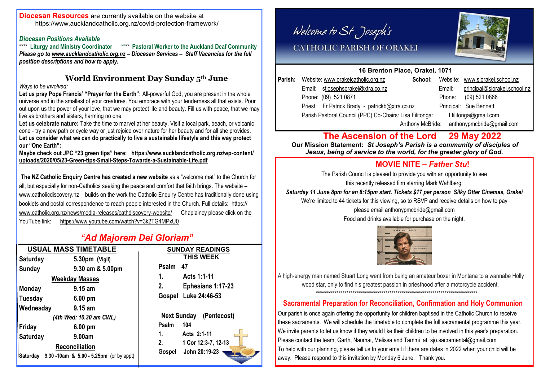#### **Diocesan Resources** are currently available on the website at <https://www.aucklandcatholic.org.nz/covid-protection-framework/>

# *Diocesan Positions Available*

\*\*\*\* **Pastoral Worker to the Auckland Deaf Community** *Please go to [www.aucklandcatholic.org.nz](http://www.aucklandcatholic.org.nz) – Diocesan Services – Staff Vacancies for the full position descriptions and how to apply.*

# **World Environment Day Sunday 5th June**

*Ways to be involved:*

Let us pray Pope Francis' "Prayer for the Earth": All-powerful God, you are present in the whole universe and in the smallest of your creatures. You embrace with your tenderness all that exists. Pour out upon us the power of your love, that we may protect life and beauty. Fill us with peace, that we may live as brothers and sisters, harming no one.

**Let us celebrate nature:** Take the time to marvel at her beauty. Visit a local park, beach, or volcanic cone - try a new path or cycle way or just rejoice over nature for her beauty and for all she provides. **Let us consider what we can do practically to live a sustainable lifestyle and this way protect our "One Earth":** 

**Maybe check out JPC "23 green tips" here: [https://www.aucklandcatholic.org.nz/wp-content/](https://www.aucklandcatholic.org.nz/wp-content/uploads/2020/05/23-Green-tips-Small-Steps-Towards-a-Sustainable-Life.pdf) [uploads/2020/05/23-Green-tips-Small-Steps-Towards-a-Sustainable-Life.pdf](https://www.aucklandcatholic.org.nz/wp-content/uploads/2020/05/23-Green-tips-Small-Steps-Towards-a-Sustainable-Life.pdf)**

**The NZ Catholic Enquiry Centre has created a new website** as a "welcome mat" to the Church for all, but especially for non-Catholics seeking the peace and comfort that faith brings. The website – [www.catholicdiscovery.nz](http://www.catholicdiscovery.nz) – builds on the work the Catholic Enquiry Centre has traditionally done using booklets and postal correspondence to reach people interested in the Church. Full details: [https://](https://www.catholic.org.nz/news/media-releases/cathdiscovery-website/) [www.catholic.org.nz/news/media-releases/cathdiscovery-website/](https://www.catholic.org.nz/news/media-releases/cathdiscovery-website/) Chaplaincy please click on the YouTube link: <https://www.youtube.com/watch?v=3k2TG4MPxU0>

# *"Ad Majorem Dei Gloriam"*

| <b>USUAL MASS TIMETABLE</b> |                 | <b>SUNDAY READINGS</b>                                                    |              |                                      |
|-----------------------------|-----------------|---------------------------------------------------------------------------|--------------|--------------------------------------|
|                             | Saturday        | 5.30pm (Vigil)                                                            |              | <b>THIS WEEK</b>                     |
|                             | Sunday          | 9.30 am & 5.00pm                                                          | Psalm        | 47                                   |
|                             |                 | <b>Weekday Masses</b>                                                     | 1.           | Acts 1:1-11                          |
|                             | <b>Monday</b>   | $9.15$ am                                                                 | 2.           | Ephesians 1:17-23                    |
|                             | <b>Tuesday</b>  | $6.00 \text{ pm}$                                                         | Gospel       | Luke 24:46-53                        |
|                             | Wednesday       | $9.15$ am                                                                 |              |                                      |
| (4th Wed: 10.30 am CWL)     |                 | <b>Next Sunday</b><br>(Pentecost)                                         |              |                                      |
|                             | Friday          | $6.00 \text{ pm}$                                                         | Psalm        | 104                                  |
|                             | <b>Saturday</b> | 9.00am                                                                    | 1.           | Acts 2:1-11                          |
|                             |                 | Reconciliation<br><b>Saturday</b> 9.30 -10am & 5.00 - 5.25pm (or by appt) | 2.<br>Gospel | 1 Cor 12:3-7, 12-13<br>John 20:19-23 |
|                             |                 |                                                                           |              |                                      |

Welcome to St Joseph's



# CATHOLIC PARISH OF ORAKEI

## **16 Brenton Place, Orakei, 1071**

| Parish: Website: www.orakeicatholic.org.nz | School: |                                                                                                            | Website: www.sjorakei.school.nz |
|--------------------------------------------|---------|------------------------------------------------------------------------------------------------------------|---------------------------------|
| Email: stjosephsorakei@xtra.co.nz          |         | Email:                                                                                                     | principal@sjorakei.school.nz    |
| Phone: (09) 521 0871                       |         | Phone:                                                                                                     | (09) 521 0866                   |
|                                            |         |                                                                                                            | Principal: Sue Bennett          |
|                                            |         |                                                                                                            | l.filitonga@gmail.com           |
|                                            |         |                                                                                                            | anthonypmcbride@gmail.com       |
|                                            |         | Priest: Fr Patrick Brady - patrickb@xtra.co.nz<br>Parish Pastoral Council (PPC) Co-Chairs: Lisa Filitonga: | Anthony McBride:                |

# **The Ascension of the Lord 29 May 2022**

 **Our Mission Statement:** *St Joseph's Parish is a community of disciples of Jesus, being of service to the world, for the greater glory of God.* 

# **MOVIE NITE –** *Father Stu***!**

The Parish Council is pleased to provide you with an opportunity to see this recently released film starring Mark Wahlberg.

*Saturday 11 June 8pm for an 8:15pm start. Tickets \$17 per person Silky Otter Cinemas, Orakei*  We're limited to 44 tickets for this viewing, so to RSVP and receive details on how to pay

please email [anthonypmcbride@gmail.com](mailto:anthonypmcbride@gmail.com) 

Food and drinks available for purchase on the night.



A high-energy man named Stuart Long went from being an amateur boxer in Montana to a wannabe Holly wood star, only to find his greatest passion in priesthood after a motorcycle accident. \*\*\*\*\*\*\*\*\*\*\*\*\*\*\*\*\*\*\*\*\*\*\*\*\*\*\*\*\*\*\*\*\*\*\*\*\*\*\*\*\*\*\*\*\*\*\*\*\*\*\*\*\*\*\*\*\*\*\*\*\*\*\*\*\*\*\*\*\*\*\*\*\*\*\*\*\*\*\*

# **Sacramental Preparation for Reconciliation, Confirmation and Holy Communion**

Our parish is once again offering the opportunity for children baptised in the Catholic Church to receive these sacraments. We will schedule the timetable to complete the full sacramental programme this year. We invite parents to let us know if they would like their children to be involved in this year's preparation. Please contact the team, Garth, Naumai, Melissa and Tammi at sjo.sacramental@gmail.com To help with our planning, please tell us In your email if there are dates in 2022 when your child will be away. Please respond to this invitation by Monday 6 June. Thank you.